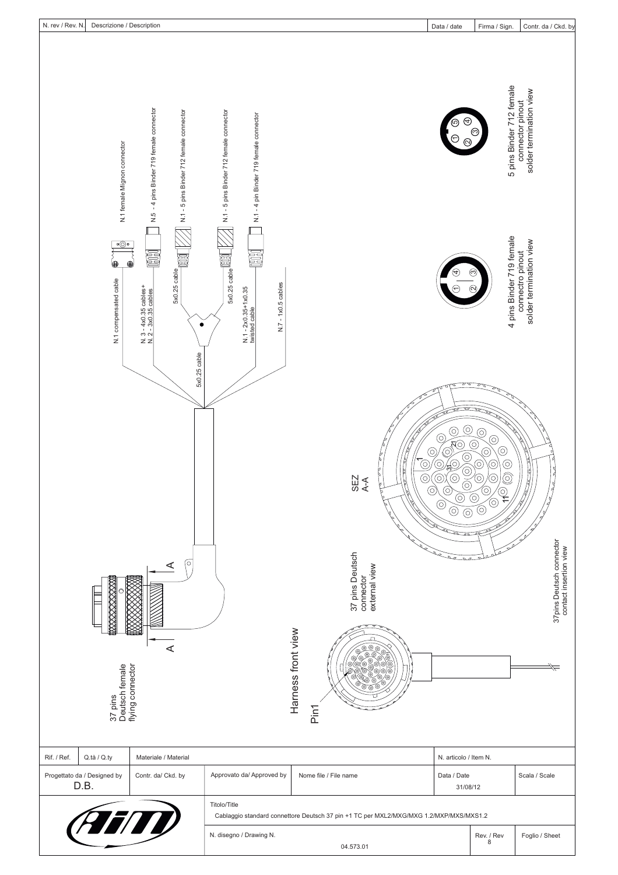